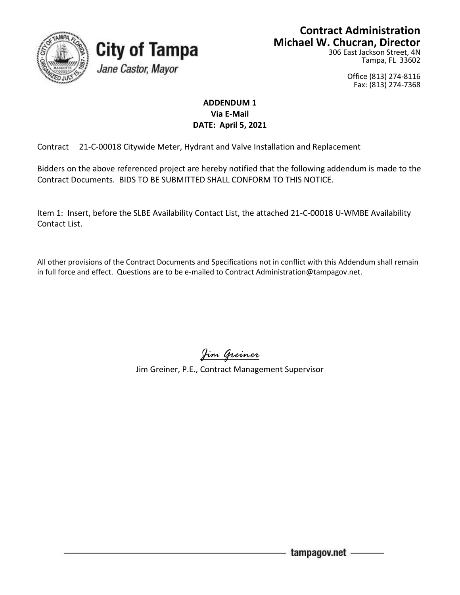

## **Contract Administration Michael W. Chucran, Director**

306 East Jackson Street, 4N Tampa, FL 33602

> Office (813) 274-8116 Fax: (813) 274-7368

## **ADDENDUM 1 Via E-Mail DATE: April 5, 2021**

Contract 21-C-00018 Citywide Meter, Hydrant and Valve Installation and Replacement

**City of Tampa** 

Jane Castor, Mayor

Bidders on the above referenced project are hereby notified that the following addendum is made to the Contract Documents. BIDS TO BE SUBMITTED SHALL CONFORM TO THIS NOTICE.

Item 1: Insert, before the SLBE Availability Contact List, the attached 21-C-00018 U-WMBE Availability Contact List.

All other provisions of the Contract Documents and Specifications not in conflict with this Addendum shall remain in full force and effect. Questions are to be e-mailed to Contract Administration@tampagov.net.

*Jim Greiner*

Jim Greiner, P.E., Contract Management Supervisor

tampagov.net -